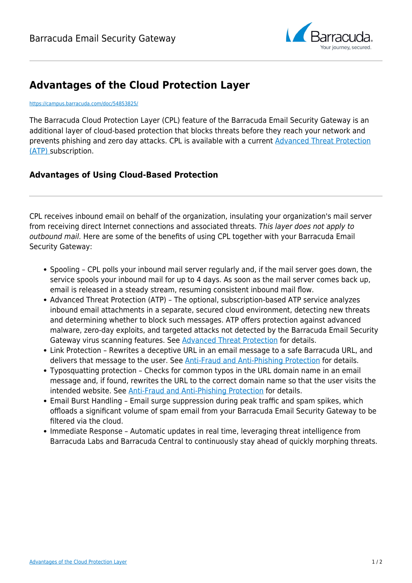

## **Advantages of the Cloud Protection Layer**

## <https://campus.barracuda.com/doc/54853825/>

The Barracuda Cloud Protection Layer (CPL) feature of the Barracuda Email Security Gateway is an additional layer of cloud-based protection that blocks threats before they reach your network and prevents phishing and zero day attacks. CPL is available with a current [Advanced Threat Protection](http://campus.barracuda.com/doc/54264986/) [\(ATP\)](http://campus.barracuda.com/doc/54264986/) subscription.

## **Advantages of Using Cloud-Based Protection**

CPL receives inbound email on behalf of the organization, insulating your organization's mail server from receiving direct Internet connections and associated threats. This layer does not apply to outbound mail. Here are some of the benefits of using CPL together with your Barracuda Email Security Gateway:

- Spooling CPL polls your inbound mail server regularly and, if the mail server goes down, the service spools your inbound mail for up to 4 days. As soon as the mail server comes back up, email is released in a steady stream, resuming consistent inbound mail flow.
- Advanced Threat Protection (ATP) The optional, subscription-based ATP service analyzes inbound email attachments in a separate, secured cloud environment, detecting new threats and determining whether to block such messages. ATP offers protection against advanced malware, zero-day exploits, and targeted attacks not detected by the Barracuda Email Security Gateway virus scanning features. See [Advanced Threat Protection](http://campus.barracuda.com/doc/54264986/) for details.
- Link Protection Rewrites a deceptive URL in an email message to a safe Barracuda URL, and delivers that message to the user. See *Anti-Fraud and Anti-Phishing Protection* for details.
- Typosquatting protection Checks for common typos in the URL domain name in an email message and, if found, rewrites the URL to the correct domain name so that the user visits the intended website. See [Anti-Fraud and Anti-Phishing Protection](http://campus.barracuda.com/doc/54267210/) for details.
- Email Burst Handling Email surge suppression during peak traffic and spam spikes, which offloads a significant volume of spam email from your Barracuda Email Security Gateway to be filtered via the cloud.
- Immediate Response Automatic updates in real time, leveraging threat intelligence from Barracuda Labs and Barracuda Central to continuously stay ahead of quickly morphing threats.